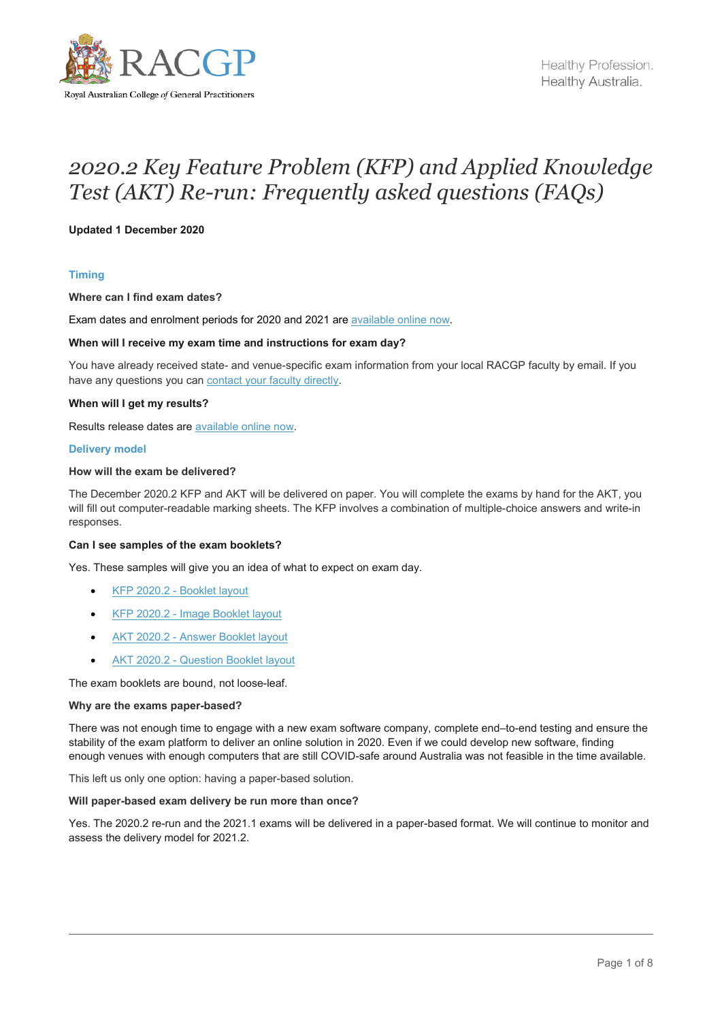

# *2020.2 Key Feature Problem (KFP) and Applied Knowledge Test (AKT) Re-run: Frequently asked questions (FAQs)*

# **Updated 1 December 2020**

# **Timing**

# **Where can I find exam dates?**

Exam dates and enrolment periods for 2020 and 2021 are [available online now.](https://www.racgp.org.au/education/imgs/fracgp-exams/exam-enrolment-instructions/enrolment-periods)

#### **When will I receive my exam time and instructions for exam day?**

You have already received state- and venue-specific exam information from your local RACGP faculty by email. If you have any questions you can [contact your faculty directly.](https://www.racgp.org.au/find-an-office)

## **When will I get my results?**

Results release dates are [available online now.](https://www.racgp.org.au/education/registrars/fracgp-exams/exam-results) 

#### **Delivery model**

# **How will the exam be delivered?**

The December 2020.2 KFP and AKT will be delivered on paper. You will complete the exams by hand for the AKT, you will fill out computer-readable marking sheets. The KFP involves a combination of multiple-choice answers and write-in responses.

## **Can I see samples of the exam booklets?**

Yes. These samples will give you an idea of what to expect on exam day.

- KFP 2020.2 [Booklet layout](https://www1.racgp.org.au/getmedia/0f4dba8f-a476-4325-8735-3ebfb45bc74b/KFP-2020-2-Booklet-Layout-EXAMPLE-ONLY.pdf.aspx)
- KFP 2020.2 [Image Booklet layout](https://www1.racgp.org.au/getmedia/b0ec7c2c-495d-44bf-bb2b-3ebc78cb247c/KFP-2020-2-Image-Booklet-Layout-EXAMPLE-ONLY.pdf.aspx)
- AKT 2020.2 [Answer Booklet layout](https://www1.racgp.org.au/getmedia/099d6592-66df-401b-b641-c29eda241080/AKT-2020-2-Answer-Booklet-Layout-EXAMPLE-ONLY.pdf.aspx)
- AKT 2020.2 [Question Booklet layout](https://www1.racgp.org.au/getmedia/a1981b60-5927-4677-8cf5-c592815171c8/AKT-2020-2-Question-Booklet-Layout-EXAMPLE-ONLY.pdf.aspx)

The exam booklets are bound, not loose-leaf.

#### **Why are the exams paper-based?**

There was not enough time to engage with a new exam software company, complete end–to-end testing and ensure the stability of the exam platform to deliver an online solution in 2020. Even if we could develop new software, finding enough venues with enough computers that are still COVID-safe around Australia was not feasible in the time available.

This left us only one option: having a paper-based solution.

# **Will paper-based exam delivery be run more than once?**

Yes. The 2020.2 re-run and the 2021.1 exams will be delivered in a paper-based format. We will continue to monitor and assess the delivery model for 2021.2.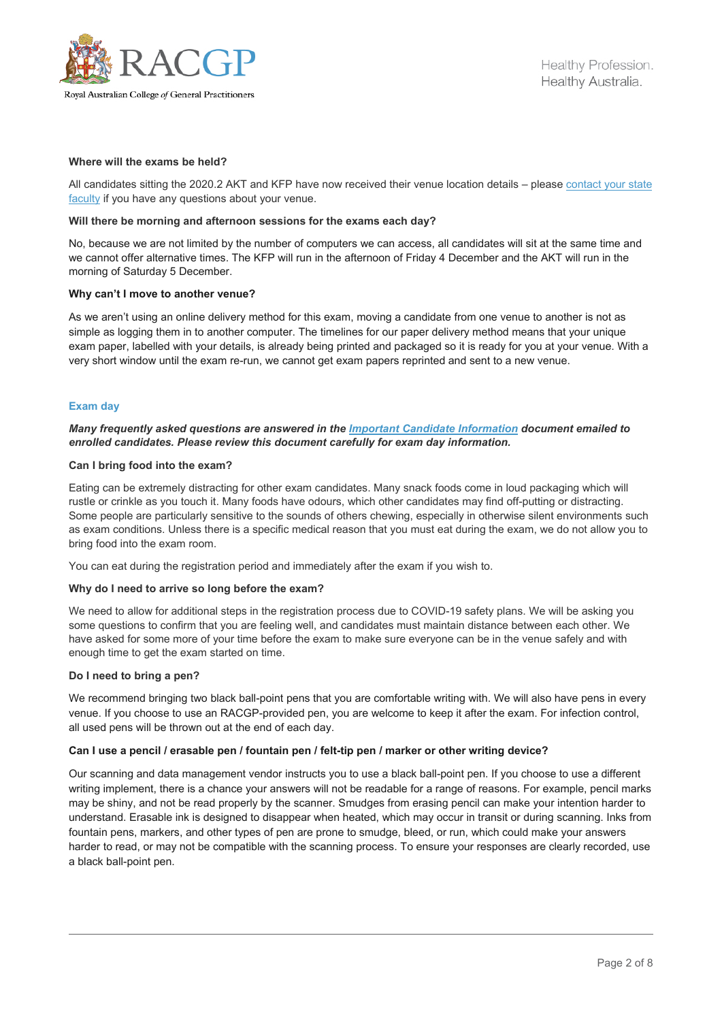

# **Where will the exams be held?**

All candidates sitting the 2020.2 AKT and KFP have now received their venue location details – please [contact your state](https://www.racgp.org.au/find-an-office)  [faculty](https://www.racgp.org.au/find-an-office) if you have any questions about your venue.

## **Will there be morning and afternoon sessions for the exams each day?**

No, because we are not limited by the number of computers we can access, all candidates will sit at the same time and we cannot offer alternative times. The KFP will run in the afternoon of Friday 4 December and the AKT will run in the morning of Saturday 5 December.

#### **Why can't I move to another venue?**

As we aren't using an online delivery method for this exam, moving a candidate from one venue to another is not as simple as logging them in to another computer. The timelines for our paper delivery method means that your unique exam paper, labelled with your details, is already being printed and packaged so it is ready for you at your venue. With a very short window until the exam re-run, we cannot get exam papers reprinted and sent to a new venue.

#### **Exam day**

# *Many frequently asked questions are answered in the [Important Candidate Information](https://www1.racgp.org.au/getmedia/1f6d4994-c3ad-4d96-a84e-5efa4d75d592/2020-2-KFP-AKT-re-run-Important-Candidate-Information.pdf.aspx) document emailed to enrolled candidates. Please review this document carefully for exam day information.*

#### **Can I bring food into the exam?**

Eating can be extremely distracting for other exam candidates. Many snack foods come in loud packaging which will rustle or crinkle as you touch it. Many foods have odours, which other candidates may find off-putting or distracting. Some people are particularly sensitive to the sounds of others chewing, especially in otherwise silent environments such as exam conditions. Unless there is a specific medical reason that you must eat during the exam, we do not allow you to bring food into the exam room.

You can eat during the registration period and immediately after the exam if you wish to.

# **Why do I need to arrive so long before the exam?**

We need to allow for additional steps in the registration process due to COVID-19 safety plans. We will be asking you some questions to confirm that you are feeling well, and candidates must maintain distance between each other. We have asked for some more of your time before the exam to make sure everyone can be in the venue safely and with enough time to get the exam started on time.

#### **Do I need to bring a pen?**

We recommend bringing two black ball-point pens that you are comfortable writing with. We will also have pens in every venue. If you choose to use an RACGP-provided pen, you are welcome to keep it after the exam. For infection control, all used pens will be thrown out at the end of each day.

## **Can I use a pencil / erasable pen / fountain pen / felt-tip pen / marker or other writing device?**

Our scanning and data management vendor instructs you to use a black ball-point pen. If you choose to use a different writing implement, there is a chance your answers will not be readable for a range of reasons. For example, pencil marks may be shiny, and not be read properly by the scanner. Smudges from erasing pencil can make your intention harder to understand. Erasable ink is designed to disappear when heated, which may occur in transit or during scanning. Inks from fountain pens, markers, and other types of pen are prone to smudge, bleed, or run, which could make your answers harder to read, or may not be compatible with the scanning process. To ensure your responses are clearly recorded, use a black ball-point pen.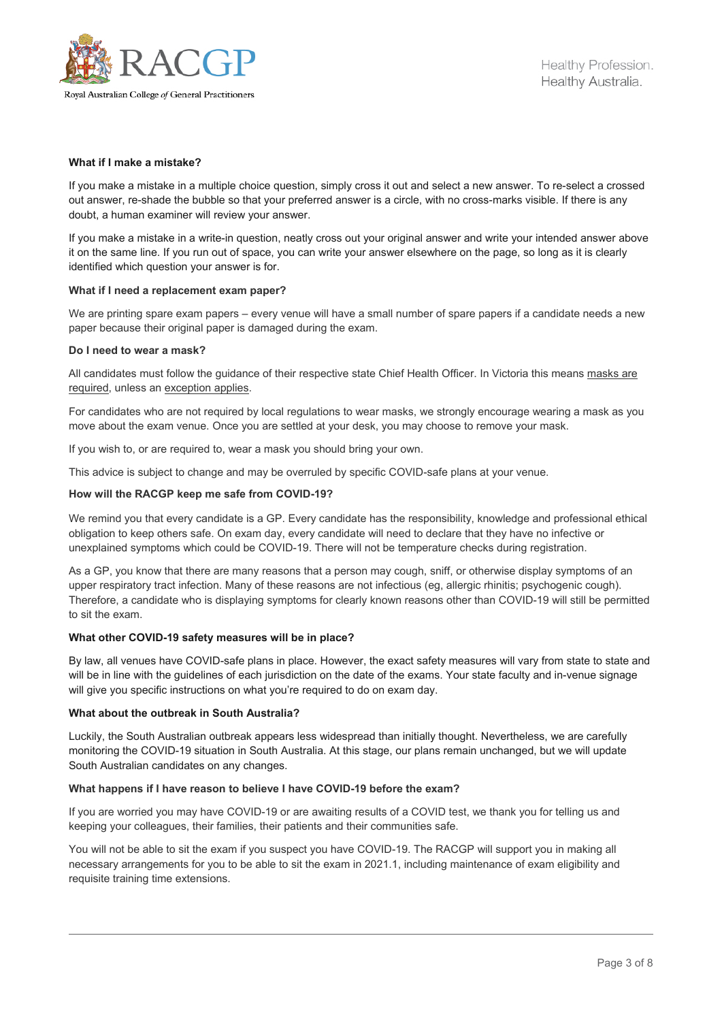

## **What if I make a mistake?**

If you make a mistake in a multiple choice question, simply cross it out and select a new answer. To re-select a crossed out answer, re-shade the bubble so that your preferred answer is a circle, with no cross-marks visible. If there is any doubt, a human examiner will review your answer.

If you make a mistake in a write-in question, neatly cross out your original answer and write your intended answer above it on the same line. If you run out of space, you can write your answer elsewhere on the page, so long as it is clearly identified which question your answer is for.

## **What if I need a replacement exam paper?**

We are printing spare exam papers – every venue will have a small number of spare papers if a candidate needs a new paper because their original paper is damaged during the exam.

# **Do I need to wear a mask?**

All candidates must follow the guidance of their respective state Chief Health Officer. In Victoria this means [masks](https://www.dhhs.vic.gov.au/face-masks-vic-covid-19) are [required,](https://www.dhhs.vic.gov.au/face-masks-vic-covid-19) unless a[n exception applies.](https://www.coronavirus.vic.gov.au/face-masks-when-wear-face-mask#exceptions-for-not-wearing-a-face-mask)

For candidates who are not required by local regulations to wear masks, we strongly encourage wearing a mask as you move about the exam venue. Once you are settled at your desk, you may choose to remove your mask.

If you wish to, or are required to, wear a mask you should bring your own.

This advice is subject to change and may be overruled by specific COVID-safe plans at your venue.

# **How will the RACGP keep me safe from COVID-19?**

We remind you that every candidate is a GP. Every candidate has the responsibility, knowledge and professional ethical obligation to keep others safe. On exam day, every candidate will need to declare that they have no infective or unexplained symptoms which could be COVID-19. There will not be temperature checks during registration.

As a GP, you know that there are many reasons that a person may cough, sniff, or otherwise display symptoms of an upper respiratory tract infection. Many of these reasons are not infectious (eg, allergic rhinitis; psychogenic cough). Therefore, a candidate who is displaying symptoms for clearly known reasons other than COVID-19 will still be permitted to sit the exam.

## **What other COVID-19 safety measures will be in place?**

By law, all venues have COVID-safe plans in place. However, the exact safety measures will vary from state to state and will be in line with the guidelines of each jurisdiction on the date of the exams. Your state faculty and in-venue signage will give you specific instructions on what you're required to do on exam day.

## **What about the outbreak in South Australia?**

Luckily, the South Australian outbreak appears less widespread than initially thought. Nevertheless, we are carefully monitoring the COVID-19 situation in South Australia. At this stage, our plans remain unchanged, but we will update South Australian candidates on any changes.

## **What happens if I have reason to believe I have COVID-19 before the exam?**

If you are worried you may have COVID-19 or are awaiting results of a COVID test, we thank you for telling us and keeping your colleagues, their families, their patients and their communities safe.

You will not be able to sit the exam if you suspect you have COVID-19. The RACGP will support you in making all necessary arrangements for you to be able to sit the exam in 2021.1, including maintenance of exam eligibility and requisite training time extensions.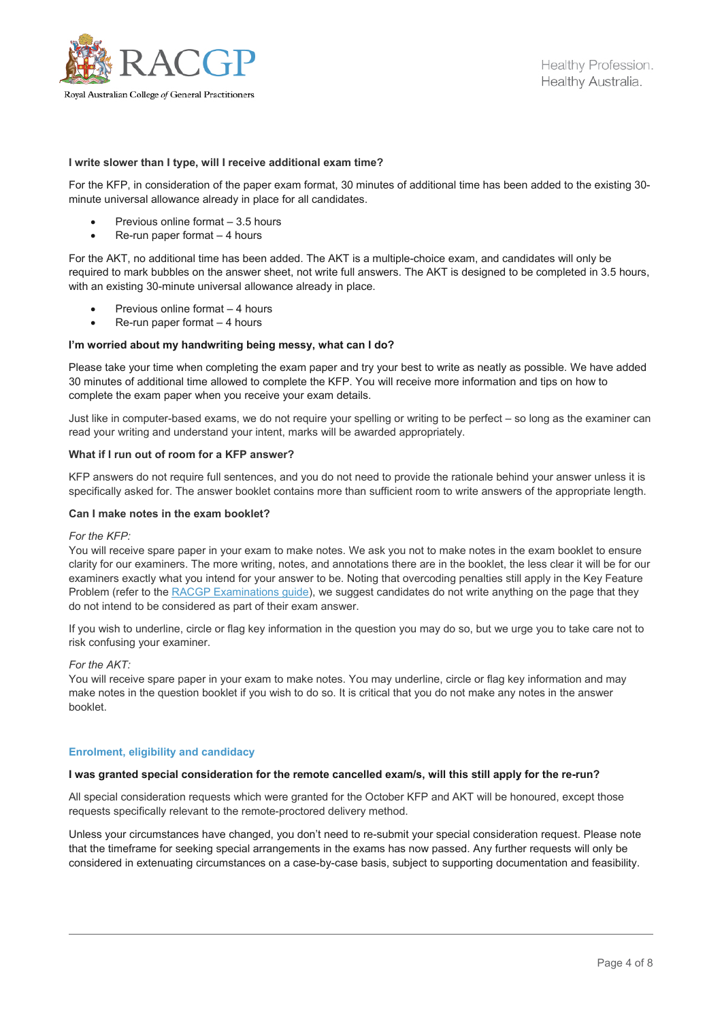

## **I write slower than I type, will I receive additional exam time?**

For the KFP, in consideration of the paper exam format, 30 minutes of additional time has been added to the existing 30 minute universal allowance already in place for all candidates.

- Previous online format 3.5 hours
- Re-run paper format 4 hours

For the AKT, no additional time has been added. The AKT is a multiple-choice exam, and candidates will only be required to mark bubbles on the answer sheet, not write full answers. The AKT is designed to be completed in 3.5 hours, with an existing 30-minute universal allowance already in place.

- Previous online format  $-4$  hours
- $Re$ -run paper format  $-4$  hours

# **I'm worried about my handwriting being messy, what can I do?**

Please take your time when completing the exam paper and try your best to write as neatly as possible. We have added 30 minutes of additional time allowed to complete the KFP. You will receive more information and tips on how to complete the exam paper when you receive your exam details.

Just like in computer-based exams, we do not require your spelling or writing to be perfect – so long as the examiner can read your writing and understand your intent, marks will be awarded appropriately.

## **What if I run out of room for a KFP answer?**

KFP answers do not require full sentences, and you do not need to provide the rationale behind your answer unless it is specifically asked for. The answer booklet contains more than sufficient room to write answers of the appropriate length.

# **Can I make notes in the exam booklet?**

## *For the KFP:*

You will receive spare paper in your exam to make notes. We ask you not to make notes in the exam booklet to ensure clarity for our examiners. The more writing, notes, and annotations there are in the booklet, the less clear it will be for our examiners exactly what you intend for your answer to be. Noting that overcoding penalties still apply in the Key Feature Problem (refer to the RACGP Examinations quide), we suggest candidates do not write anything on the page that they do not intend to be considered as part of their exam answer.

If you wish to underline, circle or flag key information in the question you may do so, but we urge you to take care not to risk confusing your examiner.

## *For the AKT:*

You will receive spare paper in your exam to make notes. You may underline, circle or flag key information and may make notes in the question booklet if you wish to do so. It is critical that you do not make any notes in the answer booklet.

## **Enrolment, eligibility and candidacy**

## **I was granted special consideration for the remote cancelled exam/s, will this still apply for the re-run?**

All special consideration requests which were granted for the October KFP and AKT will be honoured, except those requests specifically relevant to the remote-proctored delivery method.

Unless your circumstances have changed, you don't need to re-submit your special consideration request. Please note that the timeframe for seeking special arrangements in the exams has now passed. Any further requests will only be considered in extenuating circumstances on a case-by-case basis, subject to supporting documentation and feasibility.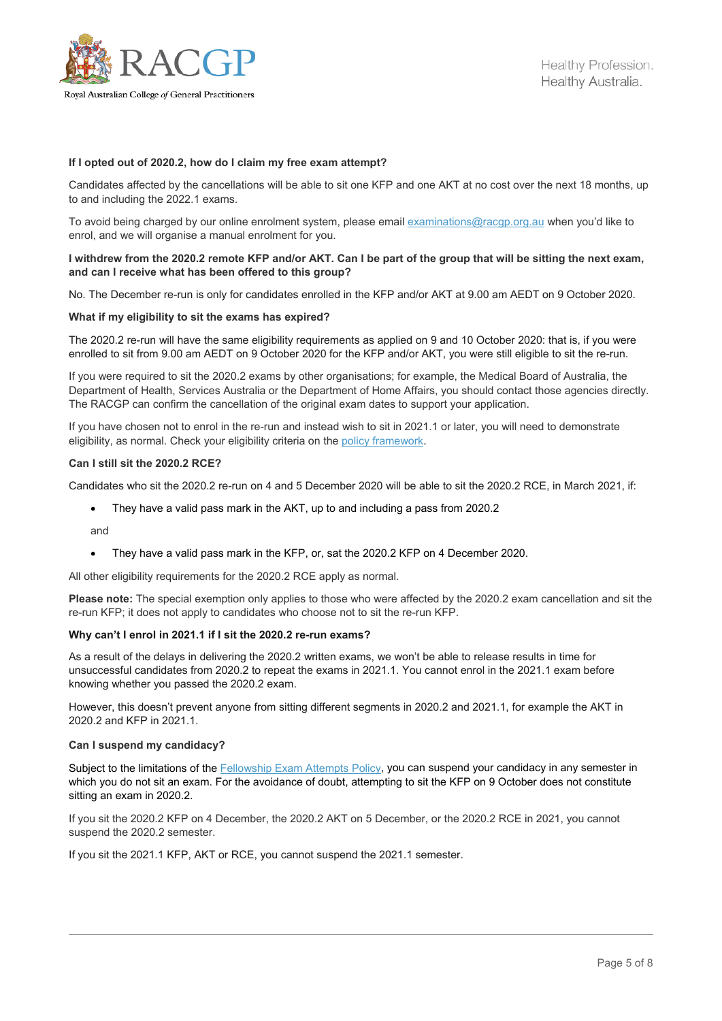

## **If I opted out of 2020.2, how do I claim my free exam attempt?**

Candidates affected by the cancellations will be able to sit one KFP and one AKT at no cost over the next 18 months, up to and including the 2022.1 exams.

To avoid being charged by our online enrolment system, please email [examinations@racgp.org.au](mailto:examinations@racgp.org.au) when you'd like to enrol, and we will organise a manual enrolment for you.

# **I withdrew from the 2020.2 remote KFP and/or AKT. Can I be part of the group that will be sitting the next exam, and can I receive what has been offered to this group?**

No. The December re-run is only for candidates enrolled in the KFP and/or AKT at 9.00 am AEDT on 9 October 2020.

#### **What if my eligibility to sit the exams has expired?**

The 2020.2 re-run will have the same eligibility requirements as applied on 9 and 10 October 2020: that is, if you were enrolled to sit from 9.00 am AEDT on 9 October 2020 for the KFP and/or AKT, you were still eligible to sit the re-run.

If you were required to sit the 2020.2 exams by other organisations; for example, the Medical Board of Australia, the Department of Health, Services Australia or the Department of Home Affairs, you should contact those agencies directly. The RACGP can confirm the cancellation of the original exam dates to support your application.

If you have chosen not to enrol in the re-run and instead wish to sit in 2021.1 or later, you will need to demonstrate eligibility, as normal. Check your eligibility criteria on the [policy framework.](https://www.racgp.org.au/education/registrars/fellowship-pathways/policy-framework/fellowship-pathways-policy-framework)

## **Can I still sit the 2020.2 RCE?**

Candidates who sit the 2020.2 re-run on 4 and 5 December 2020 will be able to sit the 2020.2 RCE, in March 2021, if:

• They have a valid pass mark in the AKT, up to and including a pass from 2020.2

and

• They have a valid pass mark in the KFP, or, sat the 2020.2 KFP on 4 December 2020.

All other eligibility requirements for the 2020.2 RCE apply as normal.

**Please note:** The special exemption only applies to those who were affected by the 2020.2 exam cancellation and sit the re-run KFP; it does not apply to candidates who choose not to sit the re-run KFP.

#### **Why can't I enrol in 2021.1 if I sit the 2020.2 re-run exams?**

As a result of the delays in delivering the 2020.2 written exams, we won't be able to release results in time for unsuccessful candidates from 2020.2 to repeat the exams in 2021.1. You cannot enrol in the 2021.1 exam before knowing whether you passed the 2020.2 exam.

However, this doesn't prevent anyone from sitting different segments in 2020.2 and 2021.1, for example the AKT in 2020.2 and KFP in 2021.1.

#### **Can I suspend my candidacy?**

Subject to the limitations of the [Fellowship Exam Attempts Policy,](https://www.racgp.org.au/education/registrars/fellowship-pathways/policy-framework/policies/fellowship-exam-attempts) you can suspend your candidacy in any semester in which you do not sit an exam. For the avoidance of doubt, attempting to sit the KFP on 9 October does not constitute sitting an exam in 2020.2.

If you sit the 2020.2 KFP on 4 December, the 2020.2 AKT on 5 December, or the 2020.2 RCE in 2021, you cannot suspend the 2020.2 semester.

If you sit the 2021.1 KFP, AKT or RCE, you cannot suspend the 2021.1 semester.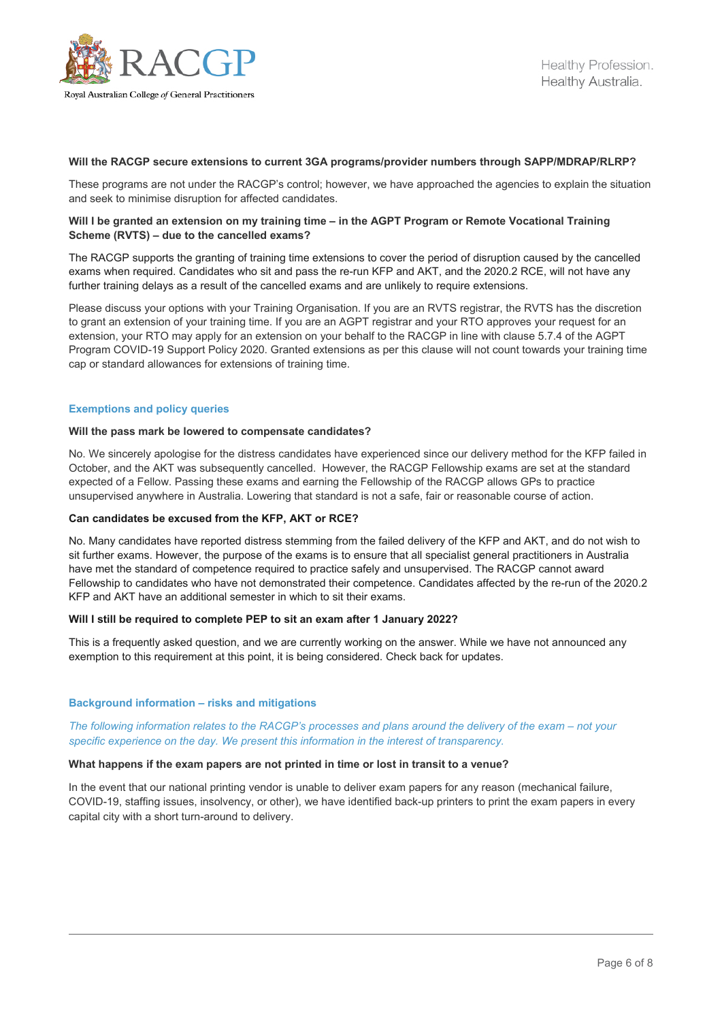

## **Will the RACGP secure extensions to current 3GA programs/provider numbers through SAPP/MDRAP/RLRP?**

These programs are not under the RACGP's control; however, we have approached the agencies to explain the situation and seek to minimise disruption for affected candidates.

## **Will I be granted an extension on my training time – in the AGPT Program or Remote Vocational Training Scheme (RVTS) – due to the cancelled exams?**

The RACGP supports the granting of training time extensions to cover the period of disruption caused by the cancelled exams when required. Candidates who sit and pass the re-run KFP and AKT, and the 2020.2 RCE, will not have any further training delays as a result of the cancelled exams and are unlikely to require extensions.

Please discuss your options with your Training Organisation. If you are an RVTS registrar, the RVTS has the discretion to grant an extension of your training time. If you are an AGPT registrar and your RTO approves your request for an extension, your RTO may apply for an extension on your behalf to the RACGP in line with clause 5.7.4 of the AGPT Program COVID-19 Support Policy 2020. Granted extensions as per this clause will not count towards your training time cap or standard allowances for extensions of training time.

#### **Exemptions and policy queries**

#### **Will the pass mark be lowered to compensate candidates?**

No. We sincerely apologise for the distress candidates have experienced since our delivery method for the KFP failed in October, and the AKT was subsequently cancelled. However, the RACGP Fellowship exams are set at the standard expected of a Fellow. Passing these exams and earning the Fellowship of the RACGP allows GPs to practice unsupervised anywhere in Australia. Lowering that standard is not a safe, fair or reasonable course of action.

#### **Can candidates be excused from the KFP, AKT or RCE?**

No. Many candidates have reported distress stemming from the failed delivery of the KFP and AKT, and do not wish to sit further exams. However, the purpose of the exams is to ensure that all specialist general practitioners in Australia have met the standard of competence required to practice safely and unsupervised. The RACGP cannot award Fellowship to candidates who have not demonstrated their competence. Candidates affected by the re-run of the 2020.2 KFP and AKT have an additional semester in which to sit their exams.

## **Will I still be required to complete PEP to sit an exam after 1 January 2022?**

This is a frequently asked question, and we are currently working on the answer. While we have not announced any exemption to this requirement at this point, it is being considered. Check back for updates.

#### **Background information – risks and mitigations**

*The following information relates to the RACGP's processes and plans around the delivery of the exam – not your specific experience on the day. We present this information in the interest of transparency.*

## **What happens if the exam papers are not printed in time or lost in transit to a venue?**

In the event that our national printing vendor is unable to deliver exam papers for any reason (mechanical failure, COVID-19, staffing issues, insolvency, or other), we have identified back-up printers to print the exam papers in every capital city with a short turn-around to delivery.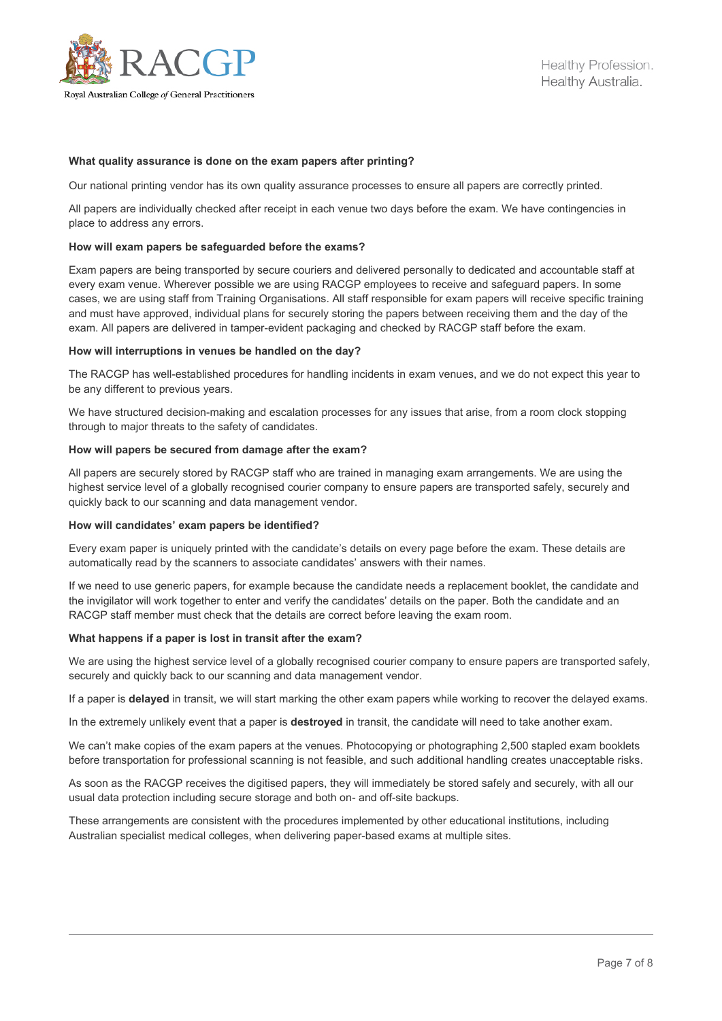

# **What quality assurance is done on the exam papers after printing?**

Our national printing vendor has its own quality assurance processes to ensure all papers are correctly printed.

All papers are individually checked after receipt in each venue two days before the exam. We have contingencies in place to address any errors.

#### **How will exam papers be safeguarded before the exams?**

Exam papers are being transported by secure couriers and delivered personally to dedicated and accountable staff at every exam venue. Wherever possible we are using RACGP employees to receive and safeguard papers. In some cases, we are using staff from Training Organisations. All staff responsible for exam papers will receive specific training and must have approved, individual plans for securely storing the papers between receiving them and the day of the exam. All papers are delivered in tamper-evident packaging and checked by RACGP staff before the exam.

## **How will interruptions in venues be handled on the day?**

The RACGP has well-established procedures for handling incidents in exam venues, and we do not expect this year to be any different to previous years.

We have structured decision-making and escalation processes for any issues that arise, from a room clock stopping through to major threats to the safety of candidates.

#### **How will papers be secured from damage after the exam?**

All papers are securely stored by RACGP staff who are trained in managing exam arrangements. We are using the highest service level of a globally recognised courier company to ensure papers are transported safely, securely and quickly back to our scanning and data management vendor.

# **How will candidates' exam papers be identified?**

Every exam paper is uniquely printed with the candidate's details on every page before the exam. These details are automatically read by the scanners to associate candidates' answers with their names.

If we need to use generic papers, for example because the candidate needs a replacement booklet, the candidate and the invigilator will work together to enter and verify the candidates' details on the paper. Both the candidate and an RACGP staff member must check that the details are correct before leaving the exam room.

## **What happens if a paper is lost in transit after the exam?**

We are using the highest service level of a globally recognised courier company to ensure papers are transported safely, securely and quickly back to our scanning and data management vendor.

If a paper is **delayed** in transit, we will start marking the other exam papers while working to recover the delayed exams.

In the extremely unlikely event that a paper is **destroyed** in transit, the candidate will need to take another exam.

We can't make copies of the exam papers at the venues. Photocopying or photographing 2,500 stapled exam booklets before transportation for professional scanning is not feasible, and such additional handling creates unacceptable risks.

As soon as the RACGP receives the digitised papers, they will immediately be stored safely and securely, with all our usual data protection including secure storage and both on- and off-site backups.

These arrangements are consistent with the procedures implemented by other educational institutions, including Australian specialist medical colleges, when delivering paper-based exams at multiple sites.